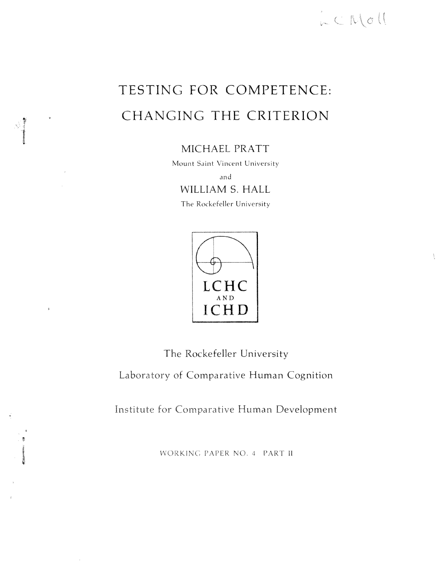

 $\Lambda$ 

# TESTING **FOR COMPETENCE:**  CHANGING **THE CRITERION**

MICHAEL PRATT

Mount Saint Vincent University

and WILLIAM S. HALL

The Rockefeller University



 $\ddot{\bullet}$ 

 $\sim$ 

**The** Rockefeller University

**Laboratory of** Comparative Human Cognition

**Institute for** Comparative Human Development

WORKING PAPER NO. 4 PART II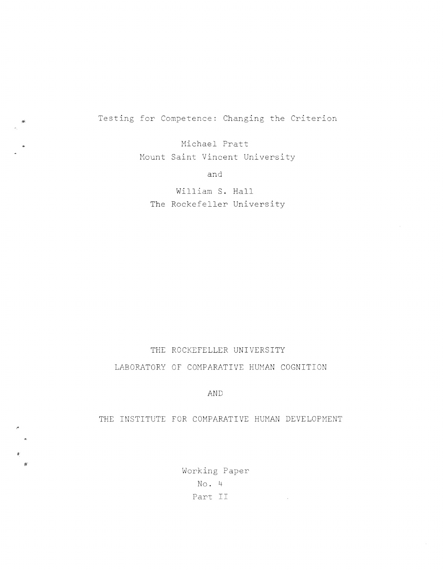Testing for Competence: Changing the Criterion

Michael Pratt Mount Saint Vincent University

and

William S. Hall The Rockefeller University

## THE ROCKEFELLER UNIVERSITY LABORATORY OF COMPARATIVE HUMAN COGNITION

AND

### THE INSTITUTE FOR COMPARATIVE HUMAN DEVELOPMENT

Working Paper No. 4 Part II

 $\mathcal{L}^{\text{max}}_{\text{max}}$  , where  $\mathcal{L}^{\text{max}}_{\text{max}}$ 

 $\mathbf{g}^{\perp}$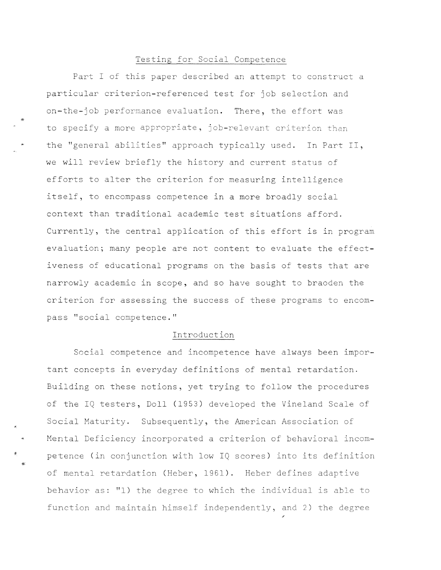#### Testing for Social Competence

Part I of this paper described an attempt to construct a particular criterion-referenced test for job selection and on-the-job performance evaluation. There, the effort was to specify a more appropriate, job-relevant criterion than the "general abilities" approach typically used. In Part II, we will review briefly the history and current status of efforts to alter the criterion for measuring intelligence itself, to encompass competence in a more broadly social context than traditional academic test situations afford. Currently, the central application of this effort is in program evaluation; many people are not content to evaluate the effectiveness of educational programs on the basis of tests that are narrowly academic in scope, and so have sought to braoden the criterion for assessing the success of these programs to encompass "social competence."

#### Introduction

Social competence and incompetence have always been important concepts in everyday definitions of mental retardation. Building on these notions, yet trying to follow the procedures of the IQ testers, Doll (1953) developed the Vineland Scale of Social Maturity. Subsequently, the American Association of Mental Deficiency incorporated a criterion of behavioral incompetence (in conjunction with low IQ scores) into its definition of mental retardation (Heber, 1961). Heber defines adaptive behavior as: "l) the degree to which the individual is able to function and maintain himself independently, and 2) the degree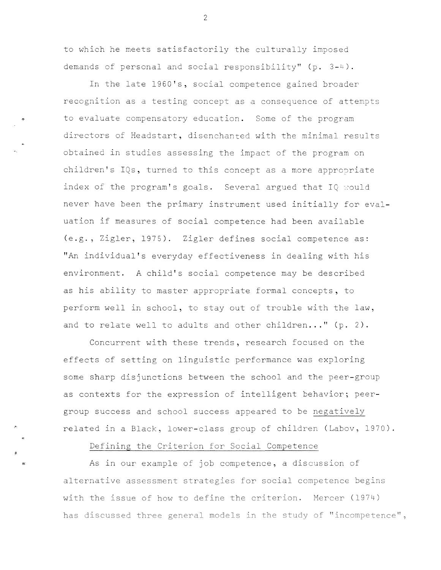to which he meets satisfactorily the culturally imposed demands of personal and social responsibility"  $(p. 3-4)$ .

•

•

In the late 1960's, social competence gained broader recognition as a testing concept as a consequence of attemots to evaluate compensatory education. Some of the program directors of Headstart, disenchanted with the minimal results obtained in studies assessing the impact of the program on children's IQs, turned to this concept as a more appropriate index of the program's goals. Several argued that  $IQ$  would never have been the primary instrument used initially for evaluation if measures of social competence had been available (e.g., Zigler, 1975). Zigler defines social competence as: "An individual's everyday effectiveness in dealing with his environment. A child's social competence may be described as his ability to master appropriate formal concepts, to perform well in school, to stay out of trouble with the law, and to relate well to adults and other children..." (p. 2).

Concurrent with these trends, research focused on the effects of setting on linguistic performance was exploring some sharp disjunctions between the school and the peer-group as contexts for the expression of intelligent behavior; peergroup success and school success appeared to be negatively related in a Black, lower-class group of children (Labov, 1970).

Defining the Criterion for Social Competence

As in our example of job competence, a discussion of alternative assessment strategies for social competence begins with the issue of how to define the criterion. Mercer (1974) has discussed three general models in the study of "incompetence",

 $\mathcal{P}$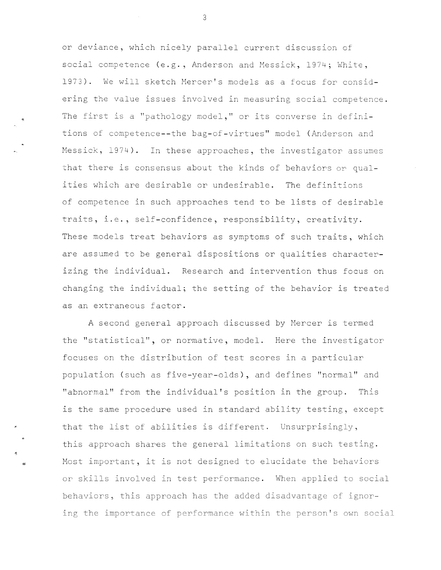or deviance, which nicely parallel current discussior. of social competence (e.g., Anderson and Messick, 1974; White, 1973). We will sketch Mercer's models as a focus for considering the value issues involved in measuring social competence. The first is a "pathology model," or its converse in definitions of competence--the bag-of-virtues" model (Anderson and Messick, 1974). In these approaches, the investigator assumes that there is consensus about the kinds of behaviors or qualities which are desirable or undesirable. The definitions of competence in such approaches tend to be lists of desirable traits, i.e., self-confidence, responsibility, creativity. These models treat behaviors as symptoms of such traits, which are assumed to be general dispositions or qualities characterizing the individual. Research and intervention thus focus on changing the individual; the setting of the behavior is treated as an extraneous factor.

A second general approach discussed by Mercer is termed the "statistical", or normative, model. Here the investigator focuses on the distribution of test scores in a particular population (such as five-year-olds), and defines "normal" and "abnormal" from the individual's position in the group. This is the same procedure used in standard ability testing, except that the list of abilities is different. Unsurprisingly, this approach shares **the** general limitations on such testing. Most important, it is not designed to elucidate the behaviors or skills involved in test performance. When applied to social behaviors, this approach has the added disadvantage of ignoring the importance of performance within the person's own social

3

..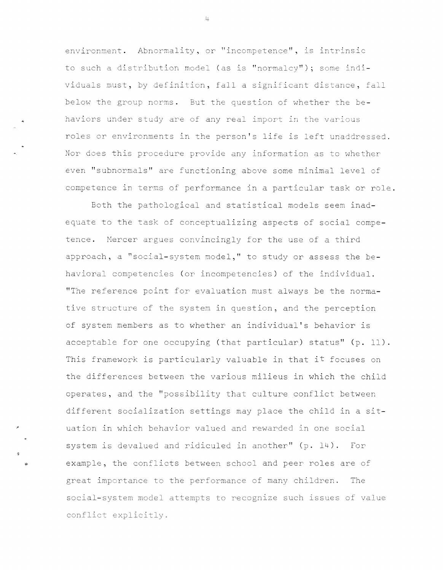environment. Abnormality, or "incompetence", is intrinsic to such a distribution model (as is "normalcy"); some individuals must, by definition, fall a significant distance, fall below the group norms. But the question cf whether the behaviors under study are of any real import in the various roles er environments in the person's life is left unaddressed. Nor does this procedure provide any information as to whether even "subnormals" are functioning above some minimal level cf competence in terms of performance in a particular task er role.

Both the pathological and statistical models seem inadequate to the task of conceptualizing aspects of social competence. Mercer argues convincingly for the use of a third approach, a "social-system model," to study or assess the behavioral competencies (or incompetencies) of the individual. "The reference point for evaluation must always be the normative structure of the system in question, and the perception of system members as to whether an individual's behavior is acceptable for one occupying (that particular) status" (p. 11). This framework is particularly valuable in that it focuses on the differences between the various milieus in which the child operates, and the "possibility that culture conflict between different socialization settings may place the child in a situation in which behavior valued and rewarded in one social system is devalued and ridiculed in another" (p. 14). For example, the conflicts between school and peer roles are of great importance to the performance of many children. The social-system model attempts to recognize such issues of value conflict explicitly.

•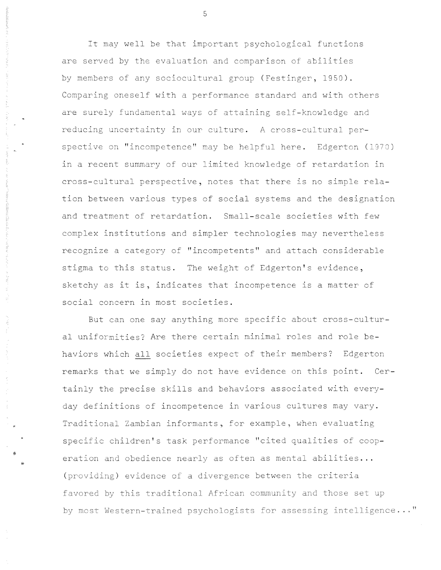It may well be that important psychological functions are served by the evaluation and comparison of abilities by members of any sociocultural group (Festinger, 1950). Comparing oneself with a performance standard and with others are surely fundamental ways of attaining self-knowledge and reducing uncertainty in our culture. A cross-cultural perspective on "incompetence" may be helpful here. Edgerton (1970) in a recent summary of our limited knowledge of retardation in cross-cultural perspective, notes that there is no simple relation between various types of social systems and the designation and treatment of retardation. Small-scale societies with few complex institutions and simpler technologies may nevertheless recognize a category of "incompetents" and attach considerable stigma to this status. The weight of Edgerton's evidence, sketchy as it is, indicates that incompetence is a matter of social concern in most societies.

But can one say anything more specific about cross-cultural uniformities? Are there certain minimal roles and role behaviors which all societies expect of their members? Edgerton remarks that we simply do not have evidence on this point. Certainly the precise skills and behaviors associated with everyday definitions of incompetence in various cultures may vary. Traditional Zambian informants, for example, when evaluating specific children's task performance "cited qualities of cooperation and obedience nearly as often as mental abilities... (providing) evidence of a divergence between the criteria favored by this traditional African community and those set up by most Western-trained psychologists for assessing intelligence..."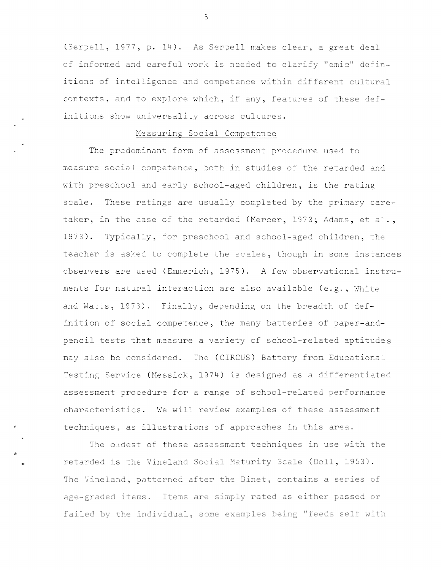(Serpell, 1977, p. 14). As Serpell makes clear, a great deal of informed and careful work is needed to clarify "emic" definitions of intelligence and competence within different cultural contexts, and to explore which, if any, features of these definitions show universality across cultures.

#### Measuring Social Competence

The predominant form of assessment procedure used to measure social competence, both in studies of the retarded and with preschool and early school-aged children, is the rating scale. These ratings are usually completed by the primary caretaker, in the case of the retarded (Mercer, 1973; Adams, et al., 1973). Typically, for preschool and school-aged children, the teacher is asked to complete the scales, though in some instances observers are used (Emmerich, 1975). A few observational instruments for natural interaction are also available (e.g., White and Watts, 1973). Finally, depending on the breadth of definition of social competence, the many batteries of paper-andpencil tests that measure a variety of school-related aptitudes may also be considered. The (CIRCUS) Battery from Educational Testing Service (Messick, 1974) is designed as a differentiated assessment procedure for a range of school-related performance characteristics. We will review examples of these assessment techniques, as illustrations of approaches in this area.

The oldest of these assessment techniques in use with the retarded is the Vineland Social Maturity Scale (Doll, 1953). The Vineland, patterned after the Binet, contains a series of age-graded items. Items are simply rated as either passed or failed by the individual, some examples being "feeds self with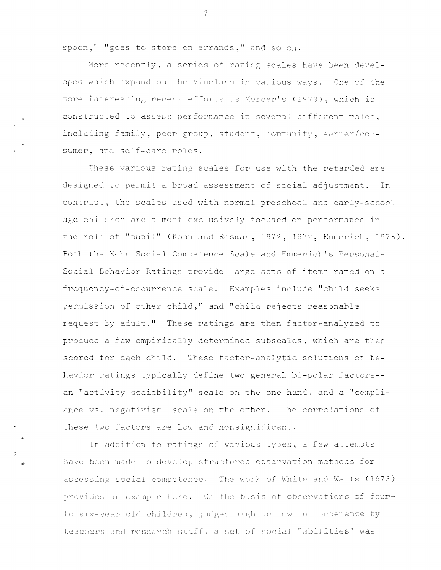spoon," "goes to store on errands," and so on.

More recently, a series of rating scales have been developed which expand on the Vineland in various ways. One of the more interesting recent efforts is Mercer's (1973), which is constructed to assess performance in several different roles, including family, peer group, student, community, earner/consumer, and self-care roles.

These various rating scales for use with the retarded are designed to permit a broad assessment of social adjustment. In contrast, the scales used with normal preschool and early-school age children are almost exclusively focused on performance in the role of "pupil" (Kohn and Rosman, 1972, 1972; Emmerich, 1975). Both the Kohn Social Competence Scale and Emmerich's Personal-Social Behavior Ratings provide large sets of items rated on a frequency-of-occurrence scale. Examples include "child seeks permission of other child," and "child rejects reasonable request by adult.'' These ratings are then factor-analyzed to produce a few empirically determined subscales, which are then scored for each child. These factor-analytic solutions of behavior ratings typically define two general bi-polar factors- an "activity-sociability" scale on the one hand, and a "compliance vs. negativism" scale on the other. The correlations of these two factors are low and nonsignificant.

In addition to ratings *of* various types, a few attempts have been made to develop structured observation methods for assessing social competence. The work of White and Watts (1973) provides an example here. On the basis of observations of fourto six-year old children, judged high or low in competence by teachers and research staff, a set of social "abilities" was

•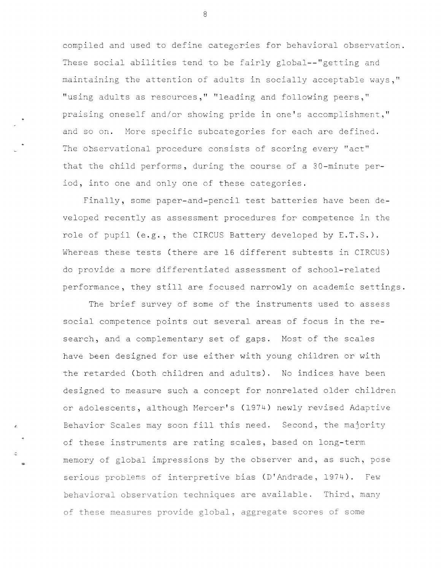compiled and used to define categories for behavioral observation. These social abilities tend to be fairly global--"getting and maintaining the attention of adults in socially acceptable ways," "using adults as resources," "leading and following peers," praising oneself and/or showing pride in one's accomplishment," and so on. More specific subcategories for each are defined. The observational procedure consists of scoring every "act" that the child performs, during the course of a 30-minute period, into one and only one of these categories.

Finally, some paper-and-pencil test batteries have been developed recently as assessment procedures for competence in the role of pupil (e.g., the CIRCUS Battery developed by E.T.S.). Whereas these tests (there are 16 different subtests in CIRCUS) do provide a more differentiated assessment of school-related performance, they still are focused narrowly on academic settings.

The brief survey of some of the instruments used to assess social competence points out several areas of focus in the research, and a complementary set of gaps. Most of the scales have been designed for use either with young children or with the retarded (both children and adults). No indices have been designed to measure such a concept for nonrelated older children or adolescents, although Mercer's (1974) newly revised Adaptive Behavior Scales may soon fill this need. Second, the majority of these instruments are rating scales, based on long-term memory of global impressions by the observer and, as such, pose serious problems of interpretive bias (D'Andrade, 1974). Few behavioral observation techniques are available. Third, many of these measures provide global, aggregate scores of some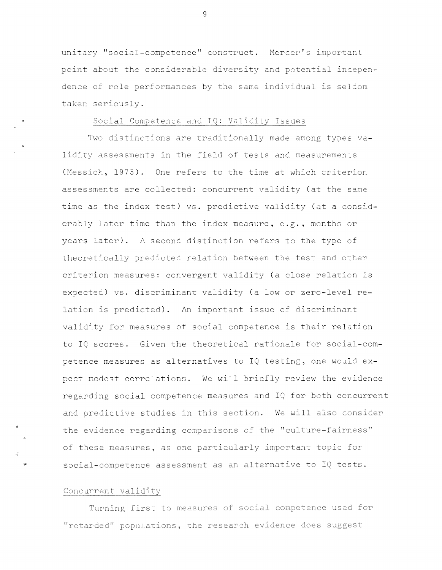unitary "social-competence" construct. Mercer's important point about the considerable diversity and potential independence of role performances by the same individual is seldom taken seriously.

#### Social Competence and IQ: Validity Issues

Two distinctions are traditionally made among types validity assessments in the field of tests and measurements (Messick,  $1975$ ). One refers to the time at which criterior. assessments are collected: concurrent validity (at the same time as the index test) vs. predictive validity (at a considerably later time than the index measure, e.g., months or years later). A second distinction refers to the type of theoretically predicted relation between the test and other criterion measures: convergent validity (a close relation is expected) vs. discriminant validity (a low or zero-level relation is predicted). An important issue of discriminant validity for measures of social competence is their relation to IQ scores. Given the theoretical rationale for social-competence measures as alternatives to IQ testing, one would expect modest correlations. We will briefly review the evidence regarding social competence measures and IQ for both concurrent and predictive studies in this section. We will also consider the evidence regarding comparisons of the "culture-fairness" of these measures, as one particularly important topic for social-competence assessment as an alternative to IQ tests.

#### Concurrent validity

"

Turning first to measures of social competence used for "retarded" populations, the research evidence does suggest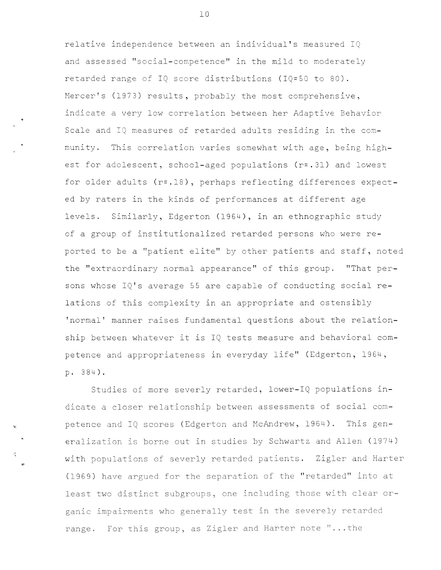relative independence between an individual's measured IQ and assessed "social-competence" in the mild to moderately retarded range of IQ score distributions (IQ=S0 to 80). Mercer's (1973) results, probably the most comprehensive, indicate a very low correlation between her Adaptive Behavior Scale and IQ measures of retarded adults residing in the community. This correlation varies somewhat with age, being highest for adolescent, school-aged populations (r=.31) and lowest for older adults (r=.18), perhaps reflecting differences expected by raters in the kinds of performances at different age levels. Similarly, Edgerton (1964), in an ethnographic study of a group of institutionalized retarded persons who were reported to be a "patient elite" by other patients and staff, noted the "extraordinary normal appearance" of this group. "That persons whose IQ's average 55 are capable of conducting social relations of this complexity in an appropriate and ostensibly 'normal' manner raises fundamental questions about the relationship between whatever it is IQ tests measure and behavioral competence and appropriateness in everyday life" (Edgerton, 1964, p. 384).

Studies of more severly retarded, lower-IQ populations indicate a closer relationship between assessments of social competence and IQ scores (Edgerton and McAndrew, 1964). This generalization is borne out in studies by Schwartz and Allen (1974) with populations of severly retarded patients. Zigler and Harter (1969) have argued for the separation of the "retarded" into at least two distinct subgroups, one including those with clear organic impairments who generally test in the severely retarded range. For this group, as Zigler and Harter note "...the

Ir

ċ.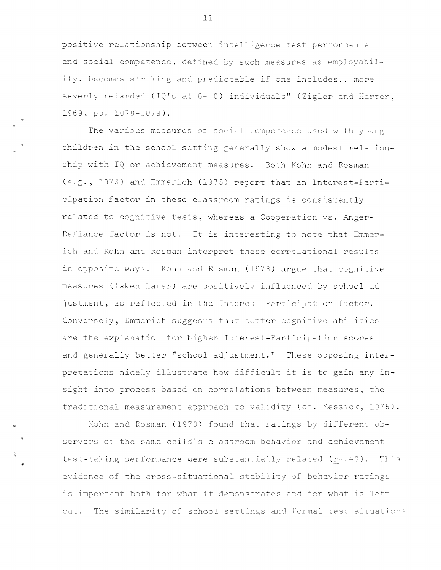positive relationship between intelligence test performance and social competence, defined by such measures as employability, becomes striking and predictable if one includes... more severly retarded (IQ's at 0-40) individuals" (Zigler and Harter, 1969, pp. 1078-1079) .

The various measures of social competence used with young children in the school setting generally show a modest relationship with IQ or achievement measures. Both Kohn and Rosman (e.g., 1973) and Emmerich (1975) report that an Interest-Participation factor in these classroom ratings is consistently related to cognitive tests, whereas a Cooperation vs. Anger-Defiance factor is not. It is interesting to note that Emmerich and Kohn and Rosman interpret these correlational results in opposite ways. Kohn and Rosman (1973) argue that cognitive measures (taken later) are positively influenced by school adjustment, as reflected in the Interest-Participation factor. Conversely, Emmerich suggests that better cognitive abilities are the explanation for higher Interest-Participation scores and generally better "school adjustment." These opposing interpretations nicely illustrate how difficult it is to gain any insight into process based on correlations between measures, the traditional measurement approach to validity (cf. Messick, 1975).

Kohn and Rosman (1973) found that ratings by different observers of the same child's classroom behavior and achievement test-taking performance were substantially related (r=.40). This evidence of the cross-situational stability of behavior ratings is important both for what it demonstrates and for what is left out. The similarity of school settings and formal test situations

11

..

..

÷.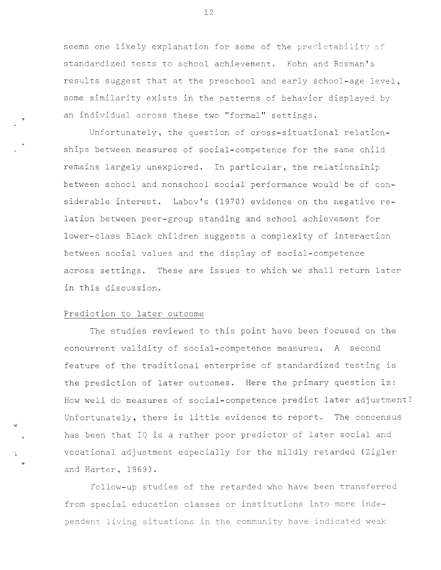seems one likely explanation for some of the predictability of standardized tests to school achievement. Kohn and Rosman's results suggest that at the preschool and early school-age level, some similarity exists in the patterns cf behavior displayed by an individual across these two "formal" settings.

Unfortunately, the question of cross-situational relationships between measures cf social-competence for the same child remains largely unexplored. In particular, the relationsihip between school and nonschcol social performance would be of considerable interest. Labov's (1970) evidence on the negative relation between peer-group standing and school achievement for lower-class Black children suggests a complexity of interaction between social values and the display of social-competence across settings. These are issues to which we shall return later in this discussion.

#### Prediction to later outcome

..

The studies reviewed to this point have been focused on the concurrent validity of social-competence measures. A second feature of the traditional enterprise of standardized testing is the prediction of later outcomes. Here the primary question is: How well do measures of social-competence predict later adjustment? Unfortunately, there is little evidence to report. The concensus has been that IQ is a rather poor predictor of later social and vocational adjustment especially for the mildly retarded (Zigler and Harter, 1969).

Follow-up studies of the retarded who have been transferred from special education classes or institutions into more independent living situations in the community have indicated weak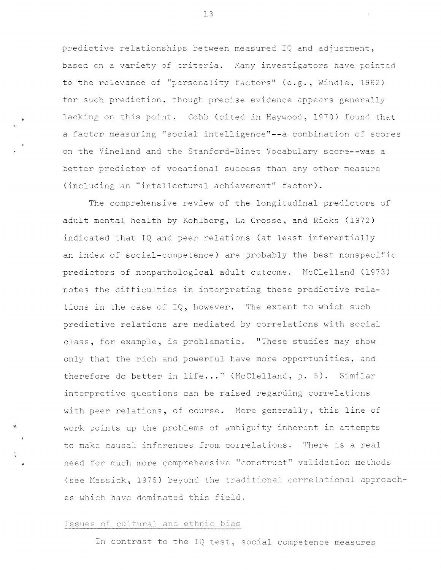predictive relationships between measured IQ and adjustment, based on a variety of criteria. Many investigators have pointed to the relevance of "personality factors" (e.g., Windle, 1962) for such prediction, though precise evidence appears generally lacking on this point. Cobb (cited in Haywood, 1970) found that a factor measuring "social intelligence"--a combination of scores on the Vineland and the Stanford-Binet Vocabulary score--was a better predictor of vocational success than any other measure (including an "intellectural achievement" factor).

The comprehensive review of the longitudinal predictors of adult mental health by Kohlberg, La Crosse, and Ricks (1972) indicated that IQ and peer relations (at least inferentially an index cf social-competence) are probably the best nonspecific predictors cf nonpathological adult outcome. McClelland (1973) notes the difficulties in interpreting these predictive relations in the case of  $IQ$ , however. The extent to which such predictive relations are mediated by correlations with social class, for example, is problematic. "These studies may show only that the rich and powerful have more opportunities, and therefore do better in life..." (McClelland, p. 5). Similar interpretive questions can be raised regarding correlations with peer relations, of course. More generally, this line of work points up the problems of ambiguity inherent in attempts to make causal inferences from correlations. There is a real need for much more comprehensive "construct" validation methods (see Messick, 1975) beyond the traditional correlational approaches which have dominated this field.

#### Issues of cultural and ethnic bias

In contrast to the IQ test, social competence measures

13

"

..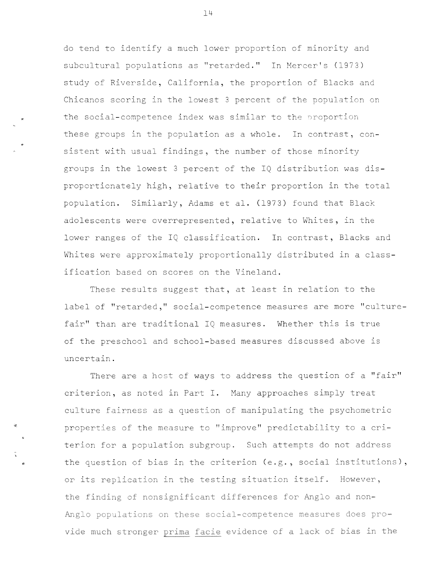de tend to identify a much lower proportion of minority and subcultural populations as "retarded." In Mercer's (1973) study of Riverside, California, the proportion of Blacks and Chicanos scoring in the lowest 3 percent of the population on the social-competence index was similar to the proportion these groups in the population as a whole. In contrast, consistent with usual findings, the number of those minority groups in the lowest 3 percent of the IQ distribution was disproportionately high, relative to their proportion in the total population. Similarly, Adams et al. (1973) found that Black adolescents were overrepresented, relative to Whites, in the lower ranges of the IQ classification. In contrast, Blacks and Whites were approximately proportionally distributed in a classification based on scores on the Vineland.

These results suggest that, at least in relation to the label of "retarded," social-competence measures are more "culturefair" than are traditional IQ measures. Whether this is true of the preschool and school-based measures discussed above is uncertain.

There are a host of ways to address the question of a "fair" criterion, as noted in Part I. Many approaches simply treat culture fairness as a question of manipulating the psychometric properties of the measure to "improve" predictability to a criterion for a population subgroup. Such attempts do not address the question of bias in the criterion (e.g., social institutions), or its replication in the testing situation itself. However, the finding of nonsignificant differences for Anglo and non-Anglo populations on these social-competence measures does provide much stronger prima facie evidence of a lack of bias in the

..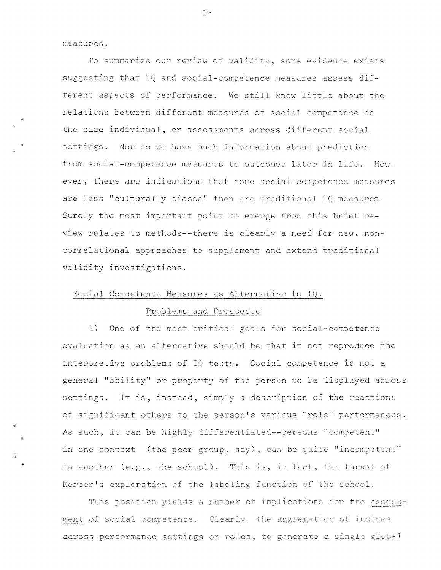measures.

•

To summarize our review of validity, some evidence exists suggesting that IQ and social-competence measures assess different aspects of performance. We still know little about the relations between different measures of social competence on the same individual, or assessments across different social settings. Nor do we have much information about prediction from social-competence measures to outcomes later in life. However, there are indications that some social-competence measures are less "culturally biased" than are traditional IQ measures Surely the most important point to emerge from this brief review relates to methods--there is clearly a need for new, noncorrelational approaches to supplement and extend traditional validity investigations.

#### Social Competence Measures as Alternative to IQ:

#### Problems and Prospects

1) One of the most critical goals for social-competence evaluation as an alternative should be that it not reproduce the interpretive problems of IQ tests. Social competence is not a general "ability" or property of the person to be displayed across settings. It is, instead, simply a description of the reactions of significant others to the person's various "role" performances. As such, it can be highly differentiated--persons "competent" in one context (the peer group, say), can be quite "incompetent" in another (e.g., the school). This is, in fact, the thrust of Mercer's exploration of the labeling function of the school.

This position yields a number of implications for the assess**rrter1t** *c)f* **sc;cial cornpetence" Clear** , the aggregation of indices across performance settings or roles, to generate a single global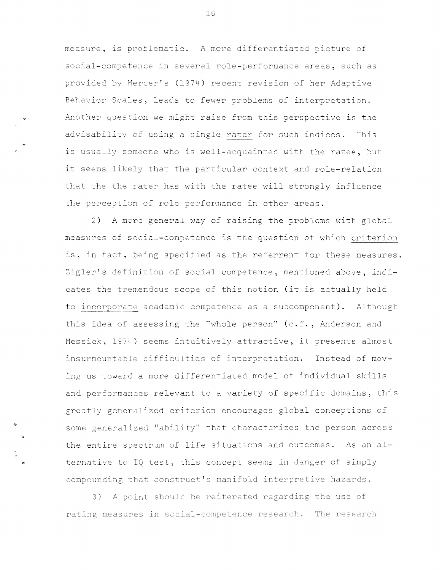measure, is problematic. A more differentiated picture of social-competence in several role-performance areas, such as provided by Mercer's (1974) recent revision of her Adaptive Behavior Scales, leads to fewer problems of interpretation. Another question we might raise from this perspective is the advisability of using a single rater for such indices. This is usually someone who is well-acquainted with the ratee, but it seems likely that the particular context and role-relation that the the rater has with the ratee will strongly influence the perception of role performance in other areas.

..

"

•

2) A more general way of raising the problems with global measures of social-competence is the question of which criterion is, in fact, being specified as the referrent for these measures. Zigler's definition of social competence, mentioned above, indicates the tremendous scope cf this notion (it is actually held to incorporate academic competence as a subcomponent). Although this idea of assessing the "whole person" (c.f., Anderson and Messick, 1974) seems intuitively attractive, it presents almost insurmountable difficulties of interpretation. Instead of moving us toward a more differentiated model of individual skills and performances relevant to a variety cf specific domains, this greatly generalized criterion encourages global conceptions of some generalized "ability" that characterizes the person across the entire spectrum of life situations and outcomes. As an alternative to IQ test, this concept seems in danger of simply compounding that construct's manifold interpretive hazards.

3) A point should be reiterated regarding the use of rating measures in social-competence research. The research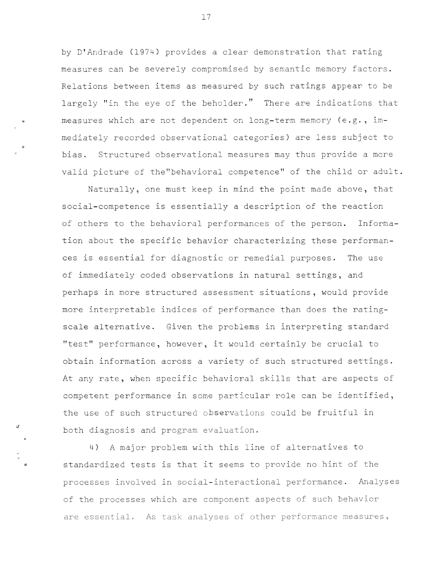by D'Andrade (1974) provides a clear demonstration that rating measures can be severely compromised by semantic memory factors. Relations between items as measured by such ratings appear to be largely "in the eye of the beholder." There are indications that measures which are not dependent on long-term memory (e.g., immediately recorded observational categories) are less subject to bias. Structured observational measures may thus provide a more valid picture of the"behavioral competence" of the child or adult.

Naturally, one must keep in mind the point made above, that social-competence is essentially a description of the reaction of others to the behavioral performances of the person. Information about the specific behavior characterizing these performances is essential for diagnostic or remedial purposes. The use of immediately coded observations in natural settings, and perhaps in more structured assessment situations, would provide more interpretable indices of performance than does the ratingscale alternative. Given the problems in interpreting standard "test" performance, however, it would certainly be crucial to obtain information across a variety of such structured settings. At any rate, when specific behavioral skills that are aspects of competent performance in some particular role can be identified, the use of such structured observations could be fruitful in both diagnosis and program evaluation.

4) A major problem with this line of alternatives to standardized tests is that it seems to provide no hint of the processes involved in social-interactional performance. Analyses of the processes **which** are component aspects of such behavior are essential. As task analyses of other performance measures,

17

..

*.J.*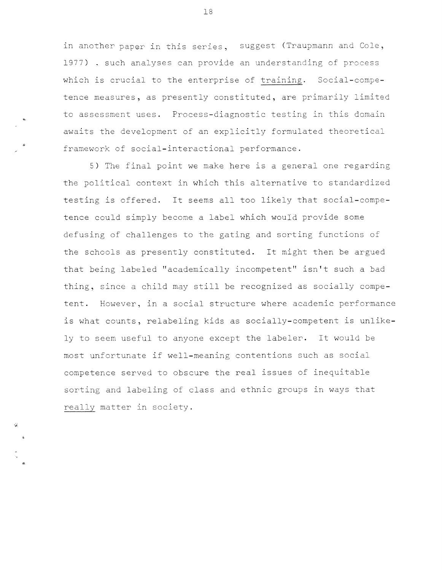in another paper in this series, suggest (Traupmann and Cole, 1977) . such analyses can provide an understanding of process which is crucial to the enterprise of training. Social-competence measures, as presently constituted, are primarily limited to assessment uses. Process-diagnostic testing in this domain awaits the development of an explicitly formulated theoretical framework of social-interactional performance.

5) The final point we make here is a general one regarding the political context in which this alternative to standardized testing is offered. It seems all too likely that social-competence could simply become a label which would provide some defusing of challenges to the gating and sorting functions of the schools as presently constituted. It might then be argued that being labeled "academically incompetent" isn't such a bad thing, since a child may still be recognized as socially competent. However, in a social structure where academic performance is what counts, relabeling kids as socially-competent is unlikely to seem useful to anyone except the labeler. It would be most unfortunate if well-meaning contentions such as social competence served to obscure the real issues of inequitable sorting and labeling of class and ethnic groups in ways that really matter in society.

"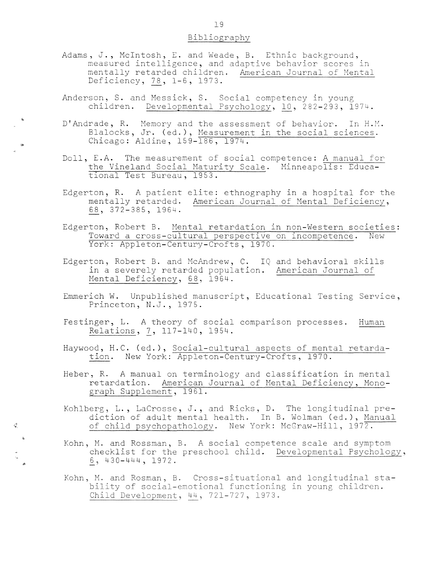#### Bibliography

- Adams, J., McIntosh, E. and Weade, B. Ethnic background, measured intelligence, and adaptive behavior scores in mentally retarded children. American Journal of Mental Deficiency, 78, 1-6, 1973.
- Anderson, S. and Messick, S. Social competency in young children. Developmental Psychology, 10, 282-293, 1974.

..

..

 $\vec{Q}$ 

..

- D'Andrade, R. Memory and the assessment of behavior. In H.M. Blalocks, Jr. (ed.), Measurement in the social sciences. Chicago: Aldine, 159-186, 1974.
- Doll, E.A. The measurement of social competence: A manual for the Vineland Social Maturity Scale. Minneapolis: Educational Test Bureau, 1953.
- Edgerton, R. A patient elite: ethnography in a hospital for the mentally retarded. American Journal of Mental Deficiency, §\_\_§\_, 372-385, 1964.
- Edgerton, Robert B. Mental retardation in non-Western societies: Toward a cross-cultural perspective on incompetence. New York: Appleton-Century-Crofts, 1970.
- Edgerton, Robert B. and McAndrew, C. IQ and behavioral skills in a severely retarded population. American Journal of Mental Deficiency, 68, 1964.
- Emmerich W. Unpublished manuscript, Educational Testing Service, Princeton, N.J., 1975.
- Festinger, L. A theory of social comparison processes. Human Relations, 7, 117-140, 1954.
- Haywood, H.C. (ed.), Social-cultural aspects of mental retardation. New York: Appleton-Century-Crofts, 1970.
- Heber, R. A manual on terminology and classification in mental retardation. American Journal of Mental Deficiencv, Monograph Supplement, 1961.
- Kohlberg, L., Lacrosse, J., and Ricks, D. The longitudinal prediction of adult mental health. In B. Wolman (ed.), Manual of child psychopathology. New York: McGraw-Hill, 1972.
- Kohn, M. and Rossman, B. A social competence scale and symptom checklist for the preschool child. Developmental Psychology, i, 430-444, 1972 .
- Kohn, M. and Rosman, B. Cross-situational and longitudinal stability of social-emotional functioning in young children. Child Development, 44, 721-727, 1973.